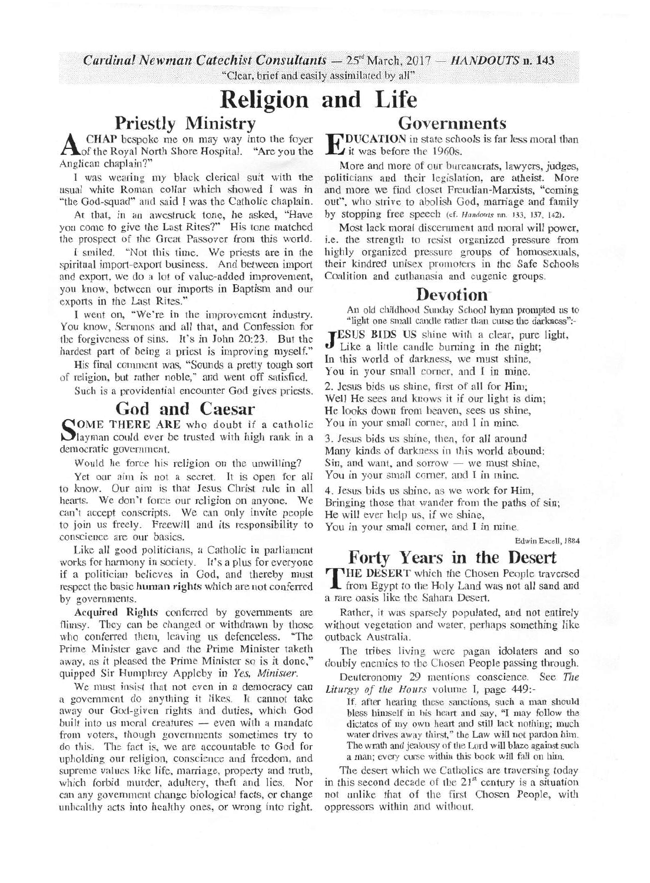*Cardinal Newman Catechist Consultants - 25<sup>\*</sup> March, 2017 - HANDOUTS n. 143* "Clear, brief and easily assimilated by all"

# **Religion and Life**

## **Priestly Ministry**

A CHAP bespoke me on may way into the foyer<br>A of the Royal North Shore Hospital. "Are you the Anglican chaplain?"

I was wearing my black clerical suit with the usual white Roman collar which showed I was in "the God-squad" and said I was the Catholic chaplain.

At that, in an awestruck tone, he asked, "Have you come to give the Last Rites?" His tone matched the prospect of the Great Passover from this world.

I smiled. "Not this time. We priests are in the spiritual import-export business. And between import and export, we do a lot of value-added improvement, you know, between our imports in Baptism and our exports in the Last Rites."

I went on, "We're in the improvement industry. You know, Sermons and all that, and Confession for the forgiveness of sins. It's in John 20:23. But the hardest part of being a priest is improving myself."

His final comment was, "Sounds a pretty tough sort of religion, but rather noble," and went off satisfied.

Such is a providential encounter God gives priests.

# **God and Caesar**

SOME THERE ARE WHO GOUDT IT A CALLOIDED IN A LATER WITH THE REAL WITH THE REAL MILITARY OF THE REAL MILITARY OF THE REAL MILITARY OF THE REAL MILITARY OF THE REAL MILITARY OF THE REAL MILITARY OF THE REAL MILITARY OF THE R OME THERE ARE who doubt if a catholic democratic government.

Would he force his religion on the unwilling?

Yet our aim is not a secret. It is open for all to know. Our aim is that Jesus Christ rule in all hearts. We don't force our religion on anyone. We can't accept conscripts. We can only invite people to join us freely. Freewill and its responsibility to conscience are our basics.

Like all good politicians, a Catholic in parliament works for harmony in society. It's a plus for everyone if a politician believes in God, and thereby must respect the basic human rights which are not conferred by governments.

Acquired Rights conferred by governments are flimsy. They can be changed or withdrawn by those who conferred them, leaving us defenceless. "The Prime Minister gave and the Prime Minister taketh away, as it pleased the Prime Minister so is it done,' quipped Sir Humphrey Appleby in *Yes, Minister.* 

We must insist that not even in a democracy can a government do anything it likes. It cannot take away our God-given rights and duties, which God built into us moral creatures  $-$  even with a mandate from voters, though governments sometimes try to do this. The fact is, we are accountable to God for upholding our religion, conscience and freedom, and supreme values like life, marriage, property and truth. which forbid murder, adultery, theft and lies. Nor can any government change biological facts, or change unhealthy acts into healthy ones, or wrong into right.

#### Governments **EDUCATION** in state schools is far less moral than<br>it was before the 1960s. . it was before the 1960s.

More and more of our bureaucrats, lawyers, judges, politicians and their legislation, are atheist. More and more we find closet Freudian-Marxists, "coming out", who strive to abolish God, marriage and family by stopping free Speech (cf. *Handouts* nn. 133, 137, 142).

Most lack moral discernment and moral will power, i.e. the strength to resist organized pressure from highly organized pressure groups of homosexuals, their kindred unisex promoters in the Safe Schools Coalition and euthanasia and eugenic groups.

## **Devotion**

An old childhood Sunday School hymn prompted us to "light one small candle rather than curse the darkness":-

**JESUS BIDS US** shine with a clear, pure<br>Like a little candle burning in the night; ESUS BIDS US shine with a clear, pure light, In this world of darkness, we must shine, You in your small corner, and I in mine.

2. Jesus bids us shine, first of all for Him; Well He sees and knows it if our light is dim; He looks down from heaven, sees us shine, You in your small corner, and I in mine.

3. Jesus bids us shine, then, for all around Many kinds of darkness in this world abound:  $Sin, and want, and sorrow - we must shine,$ You in your small corner, and I in mine.

4. Jesus bids us shine, as we work for Him, Bringing those that wander from the paths of sin; He will ever help us, if we shine,

You in your small corner, and I in mine.

Edwin Excell, 1884

# **Forty Years in the Desert**

**THE DESERT** which the Chosen People travelsed **THE DESERT** which the Chosen People traversed a rare oasis like the Sahara Desert.

Rather, it was sparsely populated, and not entirely without vegetation and water, perhaps something like outback Australia.

The tribes living were pagan idolaters and so doubly enemies to the Chosen People passing through.

Deuteronomy 29 mentions conscience. See *The Liturgy of the Hours* volume I, page 449:-

If, after hearing these sanctions, such a man should bless himself in his heart and say, "I may follow the dictates of my own heart and still lack nothing; much water drives away thirst," the Law will not pardon him. The wrath and jealousy of the Lord will blaze against such a man; every curse within this book will fall on him.

The desert which we Catholics are traversing today in this second decade of the  $21<sup>st</sup>$  century is a situation not unlike that of the first Chosen People, with oppressors within and without.